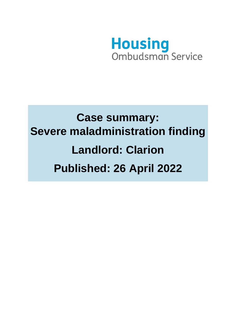

# **Case summary: Severe maladministration finding Landlord: Clarion Published: 26 April 2022**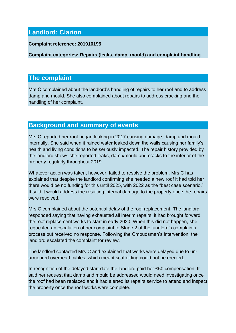## **Landlord: Clarion**

#### **Complaint reference: 201910195**

**Complaint categories: Repairs (leaks, damp, mould) and complaint handling** 

## **The complaint**

Mrs C complained about the landlord's handling of repairs to her roof and to address damp and mould. She also complained about repairs to address cracking and the handling of her complaint.

## **Background and summary of events**

Mrs C reported her roof began leaking in 2017 causing damage, damp and mould internally. She said when it rained water leaked down the walls causing her family's health and living conditions to be seriously impacted. The repair history provided by the landlord shows she reported leaks, damp/mould and cracks to the interior of the property regularly throughout 2019.

Whatever action was taken, however, failed to resolve the problem. Mrs C has explained that despite the landlord confirming she needed a new roof it had told her there would be no funding for this until 2025, with 2022 as the "best case scenario." It said it would address the resulting internal damage to the property once the repairs were resolved.

Mrs C complained about the potential delay of the roof replacement. The landlord responded saying that having exhausted all interim repairs, it had brought forward the roof replacement works to start in early 2020. When this did not happen, she requested an escalation of her complaint to Stage 2 of the landlord's complaints process but received no response. Following the Ombudsman's intervention, the landlord escalated the complaint for review.

The landlord contacted Mrs C and explained that works were delayed due to unarmoured overhead cables, which meant scaffolding could not be erected.

In recognition of the delayed start date the landlord paid her £50 compensation. It said her request that damp and mould be addressed would need investigating once the roof had been replaced and it had alerted its repairs service to attend and inspect the property once the roof works were complete.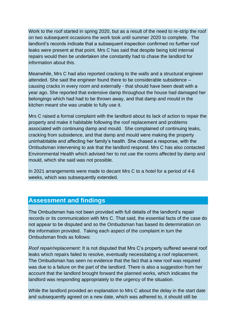Work to the roof started in spring 2020, but as a result of the need to re-strip the roof on two subsequent occasions the work took until summer 2020 to complete. The landlord's records indicate that a subsequent inspection confirmed no further roof leaks were present at that point. Mrs C has said that despite being told internal repairs would then be undertaken she constantly had to chase the landlord for information about this.

Meanwhile, Mrs C had also reported cracking to the walls and a structural engineer attended. She said the engineer found there to be considerable subsidence – causing cracks in every room and externally - that should have been dealt with a year ago. She reported that extensive damp throughout the house had damaged her belongings which had had to be thrown away, and that damp and mould in the kitchen meant she was unable to fully use it.

Mrs C raised a formal complaint with the landlord about its lack of action to repair the property and make it habitable following the roof replacement and problems associated with continuing damp and mould. She complained of continuing leaks, cracking from subsidence, and that damp and mould were making the property uninhabitable and affecting her family's health. She chased a response, with the Ombudsman intervening to ask that the landlord respond. Mrs C has also contacted Environmental Health which advised her to not use the rooms affected by damp and mould, which she said was not possible.

In 2021 arrangements were made to decant Mrs C to a hotel for a period of 4-6 weeks, which was subsequently extended.

### **Assessment and findings**

The Ombudsman has not been provided with full details of the landlord's repair records or its communication with Mrs C. That said, the essential facts of the case do not appear to be disputed and so the Ombudsman has based its determination on the information provided. Taking each aspect of the complaint in turn the Ombudsman finds as follows:

*Roof repair/replacement*: It is not disputed that Mrs C's property suffered several roof leaks which repairs failed to resolve, eventually necessitating a roof replacement. The Ombudsman has seen no evidence that the fact that a new roof was required was due to a failure on the part of the landlord. There is also a suggestion from her account that the landlord brought forward the planned works, which indicates the landlord was responding appropriately to the urgency of the situation.

While the landlord provided an explanation to Mrs C about the delay in the start date and subsequently agreed on a new date, which was adhered to, it should still be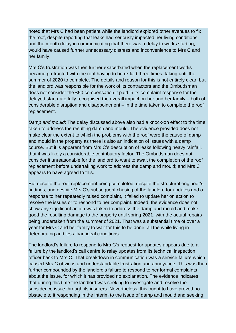noted that Mrs C had been patient while the landlord explored other avenues to fix the roof, despite reporting that leaks had seriously impacted her living conditions, and the month delay in communicating that there was a delay to works starting, would have caused further unnecessary distress and inconvenience to Mrs C and her family.

Mrs C's frustration was then further exacerbated when the replacement works became protracted with the roof having to be re-laid three times, taking until the summer of 2020 to complete. The details and reason for this is not entirely clear, but the landlord was responsible for the work of its contractors and the Ombudsman does not consider the £50 compensation it paid in its complaint response for the delayed start date fully recognised the overall impact on her and her family – both of considerable disruption and disappointment – in the time taken to complete the roof replacement.

*Damp and mould*: The delay discussed above also had a knock-on effect to the time taken to address the resulting damp and mould. The evidence provided does not make clear the extent to which the problems with the roof were the cause of damp and mould in the property as there is also an indication of issues with a damp course. But it is apparent from Mrs C's description of leaks following heavy rainfall, that it was likely a considerable contributory factor. The Ombudsman does not consider it unreasonable for the landlord to want to await the completion of the roof replacement before undertaking work to address the damp and mould; and Mrs C appears to have agreed to this.

But despite the roof replacement being completed, despite the structural engineer's findings, and despite Mrs C's subsequent chasing of the landlord for updates and a response to her repeatedly raised complaint, it failed to update her on action to resolve the issues or to respond to her complaint. Indeed, the evidence does not show any significant action was taken to address the damp and mould and make good the resulting damage to the property until spring 2021, with the actual repairs being undertaken from the summer of 2021. That was a substantial time of over a year for Mrs C and her family to wait for this to be done, all the while living in deteriorating and less than ideal conditions.

The landlord's failure to respond to Mrs C's request for updates appears due to a failure by the landlord's call centre to relay updates from its technical inspection officer back to Mrs C. That breakdown in communication was a service failure which caused Mrs C obvious and understandable frustration and annoyance. This was then further compounded by the landlord's failure to respond to her formal complaints about the issue, for which it has provided no explanation. The evidence indicates that during this time the landlord was seeking to investigate and resolve the subsidence issue through its insurers. Nevertheless, this ought to have proved no obstacle to it responding in the interim to the issue of damp and mould and seeking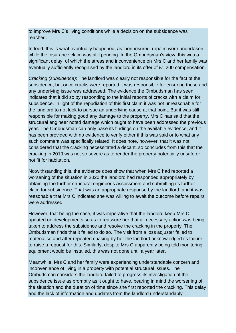to improve Mrs C's living conditions while a decision on the subsidence was reached.

Indeed, this is what eventually happened, as 'non-insured' repairs were undertaken, while the insurance claim was still pending. In the Ombudsman's view, this was a significant delay, of which the stress and inconvenience on Mrs C and her family was eventually sufficiently recognised by the landlord in its offer of £1,200 compensation.

*Cracking (subsidence)*: The landlord was clearly not responsible for the fact of the subsidence, but once cracks were reported it was responsible for ensuring these and any underlying issue was addressed. The evidence the Ombudsman has seen indicates that it did so by responding to the initial reports of cracks with a claim for subsidence. In light of the repudiation of this first claim it was not unreasonable for the landlord to not look to pursue an underlying cause at that point. But it was still responsible for making good any damage to the property. Mrs C has said that the structural engineer noted damage which ought to have been addressed the previous year. The Ombudsman can only base its findings on the available evidence, and it has been provided with no evidence to verify either if this was said or to what any such comment was specifically related. It does note, however, that it was not considered that the cracking necessitated a decant, so concludes from this that the cracking in 2019 was not so severe as to render the property potentially unsafe or not fit for habitation.

Notwithstanding this, the evidence does show that when Mrs C had reported a worsening of the situation in 2020 the landlord had responded appropriately by obtaining the further structural engineer's assessment and submitting its further claim for subsidence. That was an appropriate response by the landlord, and it was reasonable that Mrs C indicated she was willing to await the outcome before repairs were addressed.

However, that being the case, it was imperative that the landlord keep Mrs C updated on developments so as to reassure her that all necessary action was being taken to address the subsidence and resolve the cracking in the property. The Ombudsman finds that it failed to do so. The visit from a loss adjuster failed to materialise and after repeated chasing by her the landlord acknowledged its failure to raise a request for this. Similarly, despite Mrs C apparently being told monitoring equipment would be installed, this was not done until a year later.

Meanwhile, Mrs C and her family were experiencing understandable concern and inconvenience of living in a property with potential structural issues. The Ombudsman considers the landlord failed to progress its investigation of the subsidence issue as promptly as it ought to have, bearing in mind the worsening of the situation and the duration of time since she first reported the cracking. This delay and the lack of information and updates from the landlord understandably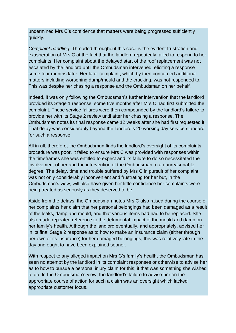undermined Mrs C's confidence that matters were being progressed sufficiently quickly.

*Complaint handling*: Threaded throughout this case is the evident frustration and exasperation of Mrs C at the fact that the landlord repeatedly failed to respond to her complaints. Her complaint about the delayed start of the roof replacement was not escalated by the landlord until the Ombudsman intervened, eliciting a response some four months later. Her later complaint, which by then concerned additional matters including worsening damp/mould and the cracking, was not responded to. This was despite her chasing a response and the Ombudsman on her behalf.

Indeed, it was only following the Ombudsman's further intervention that the landlord provided its Stage 1 response, some five months after Mrs C had first submitted the complaint. These service failures were then compounded by the landlord's failure to provide her with its Stage 2 review until after her chasing a response. The Ombudsman notes its final response came 12 weeks after she had first requested it. That delay was considerably beyond the landlord's 20 working day service standard for such a response.

All in all, therefore, the Ombudsman finds the landlord's oversight of its complaints procedure was poor. It failed to ensure Mrs C was provided with responses within the timeframes she was entitled to expect and its failure to do so necessitated the involvement of her and the intervention of the Ombudsman to an unreasonable degree. The delay, time and trouble suffered by Mrs C in pursuit of her complaint was not only considerably inconvenient and frustrating for her but, in the Ombudsman's view, will also have given her little confidence her complaints were being treated as seriously as they deserved to be.

Aside from the delays, the Ombudsman notes Mrs C also raised during the course of her complaints her claim that her personal belongings had been damaged as a result of the leaks, damp and mould, and that various items had had to be replaced. She also made repeated reference to the detrimental impact of the mould and damp on her family's health. Although the landlord eventually, and appropriately, advised her in its final Stage 2 response as to how to make an insurance claim (either through her own or its insurance) for her damaged belongings, this was relatively late in the day and ought to have been explained sooner.

With respect to any alleged impact on Mrs C's family's health, the Ombudsman has seen no attempt by the landlord in its complaint responses or otherwise to advise her as to how to pursue a personal injury claim for this; if that was something she wished to do. In the Ombudsman's view, the landlord's failure to advise her on the appropriate course of action for such a claim was an oversight which lacked appropriate customer focus.